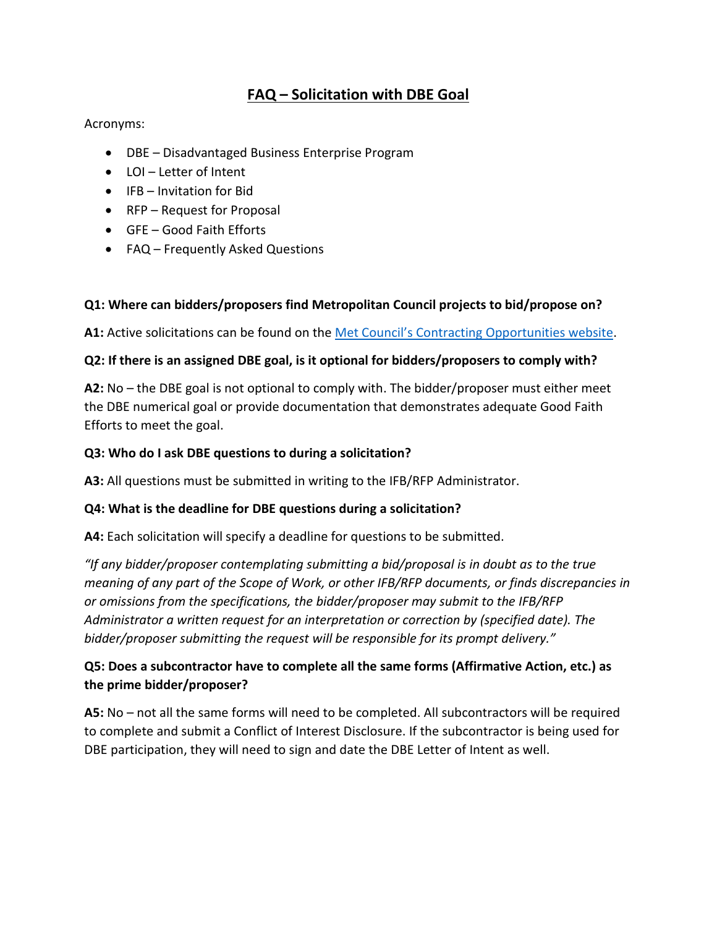# **FAQ – Solicitation with DBE Goal**

#### Acronyms:

- DBE Disadvantaged Business Enterprise Program
- LOI Letter of Intent
- IFB Invitation for Bid
- RFP Request for Proposal
- GFE Good Faith Efforts
- FAQ Frequently Asked Questions

## **Q1: Where can bidders/proposers find Metropolitan Council projects to bid/propose on?**

**A1:** Active solicitations can be found on the [Met Council's Contracting Opportunities website.](https://metrocouncil.org/About-Us/What-We-Do/DoingBusiness/Contracting-Opportunities.aspx?source=child)

## **Q2: If there is an assigned DBE goal, is it optional for bidders/proposers to comply with?**

**A2:** No – the DBE goal is not optional to comply with. The bidder/proposer must either meet the DBE numerical goal or provide documentation that demonstrates adequate Good Faith Efforts to meet the goal.

## **Q3: Who do I ask DBE questions to during a solicitation?**

**A3:** All questions must be submitted in writing to the IFB/RFP Administrator.

## **Q4: What is the deadline for DBE questions during a solicitation?**

**A4:** Each solicitation will specify a deadline for questions to be submitted.

*"If any bidder/proposer contemplating submitting a bid/proposal is in doubt as to the true meaning of any part of the Scope of Work, or other IFB/RFP documents, or finds discrepancies in or omissions from the specifications, the bidder/proposer may submit to the IFB/RFP Administrator a written request for an interpretation or correction by (specified date). The bidder/proposer submitting the request will be responsible for its prompt delivery."*

# **Q5: Does a subcontractor have to complete all the same forms (Affirmative Action, etc.) as the prime bidder/proposer?**

**A5:** No – not all the same forms will need to be completed. All subcontractors will be required to complete and submit a Conflict of Interest Disclosure. If the subcontractor is being used for DBE participation, they will need to sign and date the DBE Letter of Intent as well.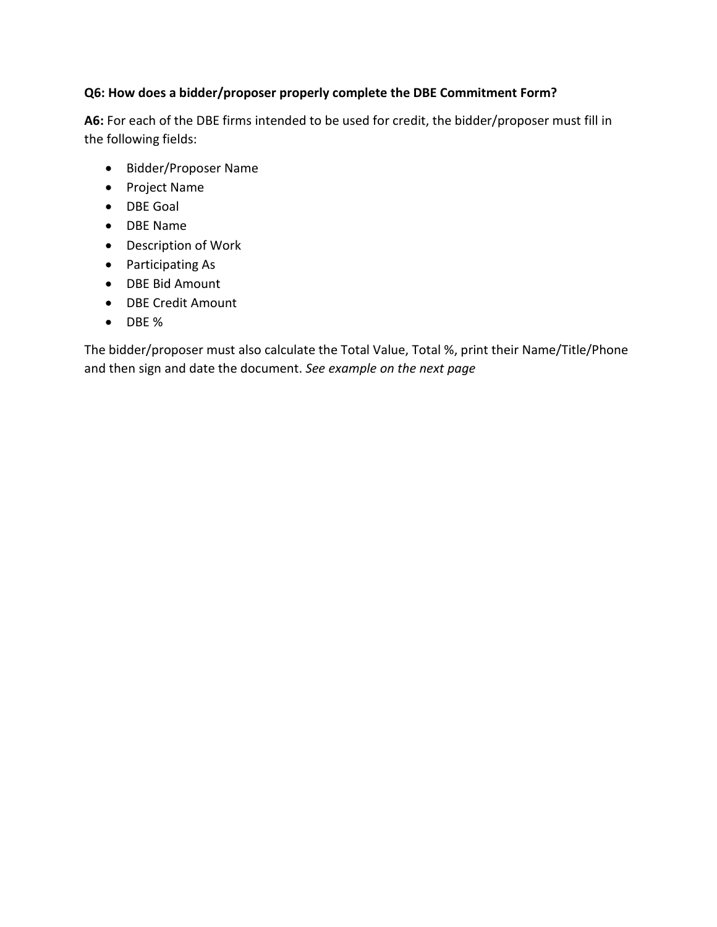## **Q6: How does a bidder/proposer properly complete the DBE Commitment Form?**

**A6:** For each of the DBE firms intended to be used for credit, the bidder/proposer must fill in the following fields:

- Bidder/Proposer Name
- Project Name
- DBE Goal
- DBE Name
- Description of Work
- Participating As
- DBE Bid Amount
- DBE Credit Amount
- DBE %

The bidder/proposer must also calculate the Total Value, Total %, print their Name/Title/Phone and then sign and date the document. *See example on the next page*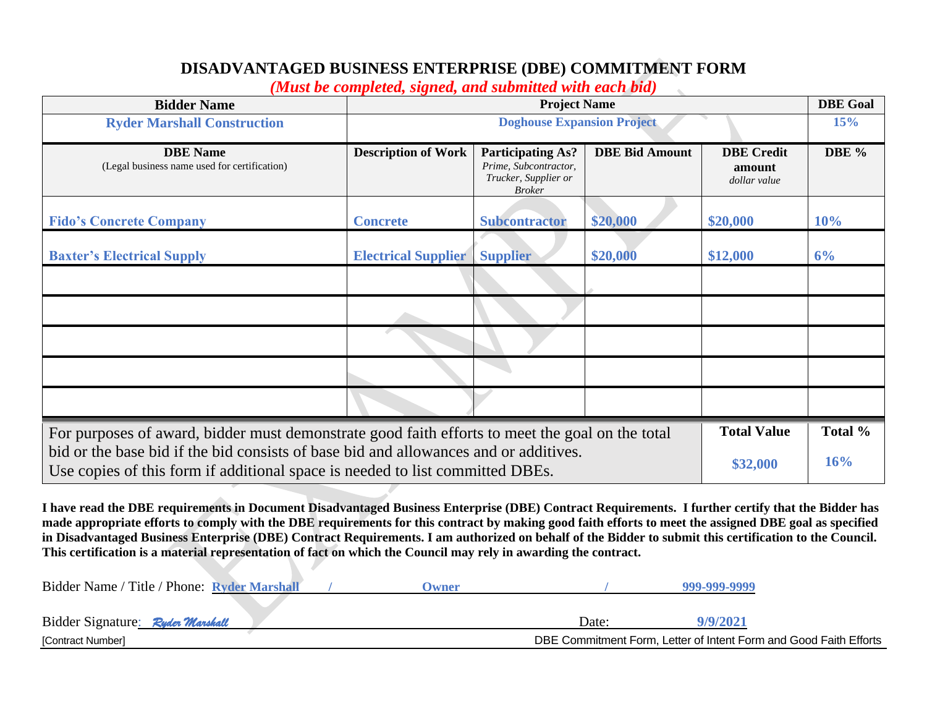# **DISADVANTAGED BUSINESS ENTERPRISE (DBE) COMMITMENT FORM**

*(Must be completed, signed, and submitted with each bid)*

 $\sim$ 

| <b>Bidder Name</b>                                                                                                                                                    | <i>cc</i> compressing signed, and such ma<br><b>Project Name</b> |                                                                                            |                       | <b>DBE Goal</b>                             |         |
|-----------------------------------------------------------------------------------------------------------------------------------------------------------------------|------------------------------------------------------------------|--------------------------------------------------------------------------------------------|-----------------------|---------------------------------------------|---------|
| <b>Ryder Marshall Construction</b>                                                                                                                                    | <b>Doghouse Expansion Project</b>                                |                                                                                            |                       |                                             | 15%     |
| <b>DBE</b> Name<br>(Legal business name used for certification)                                                                                                       | <b>Description of Work</b>                                       | <b>Participating As?</b><br>Prime, Subcontractor,<br>Trucker, Supplier or<br><b>Broker</b> | <b>DBE Bid Amount</b> | <b>DBE</b> Credit<br>amount<br>dollar value | DBE %   |
| <b>Fido's Concrete Company</b>                                                                                                                                        | <b>Concrete</b>                                                  | <b>Subcontractor</b>                                                                       | \$20,000              | \$20,000                                    | 10%     |
| <b>Baxter's Electrical Supply</b>                                                                                                                                     | <b>Electrical Supplier</b>                                       | <b>Supplier</b>                                                                            | \$20,000              | \$12,000                                    | 6%      |
|                                                                                                                                                                       |                                                                  |                                                                                            |                       |                                             |         |
|                                                                                                                                                                       |                                                                  |                                                                                            |                       |                                             |         |
|                                                                                                                                                                       |                                                                  |                                                                                            |                       |                                             |         |
|                                                                                                                                                                       |                                                                  |                                                                                            |                       |                                             |         |
|                                                                                                                                                                       |                                                                  |                                                                                            |                       |                                             |         |
| For purposes of award, bidder must demonstrate good faith efforts to meet the goal on the total                                                                       |                                                                  |                                                                                            |                       | <b>Total Value</b>                          | Total % |
| bid or the base bid if the bid consists of base bid and allowances and or additives.<br>Use copies of this form if additional space is needed to list committed DBEs. |                                                                  |                                                                                            |                       | \$32,000                                    | 16%     |

**I have read the DBE requirements in Document Disadvantaged Business Enterprise (DBE) Contract Requirements. I further certify that the Bidder has made appropriate efforts to comply with the DBE requirements for this contract by making good faith efforts to meet the assigned DBE goal as specified in Disadvantaged Business Enterprise (DBE) Contract Requirements. I am authorized on behalf of the Bidder to submit this certification to the Council. This certification is a material representation of fact on which the Council may rely in awarding the contract.**

| Bidder Name / Title / Phone: Ryder Marshall | Dwner |       | 999-999-9999                                                      |  |
|---------------------------------------------|-------|-------|-------------------------------------------------------------------|--|
|                                             |       |       |                                                                   |  |
| Bidder Signature: Ryder Marshall            |       | Date: | 9/9/2021                                                          |  |
| [Contract Number]                           |       |       | DBE Commitment Form, Letter of Intent Form and Good Faith Efforts |  |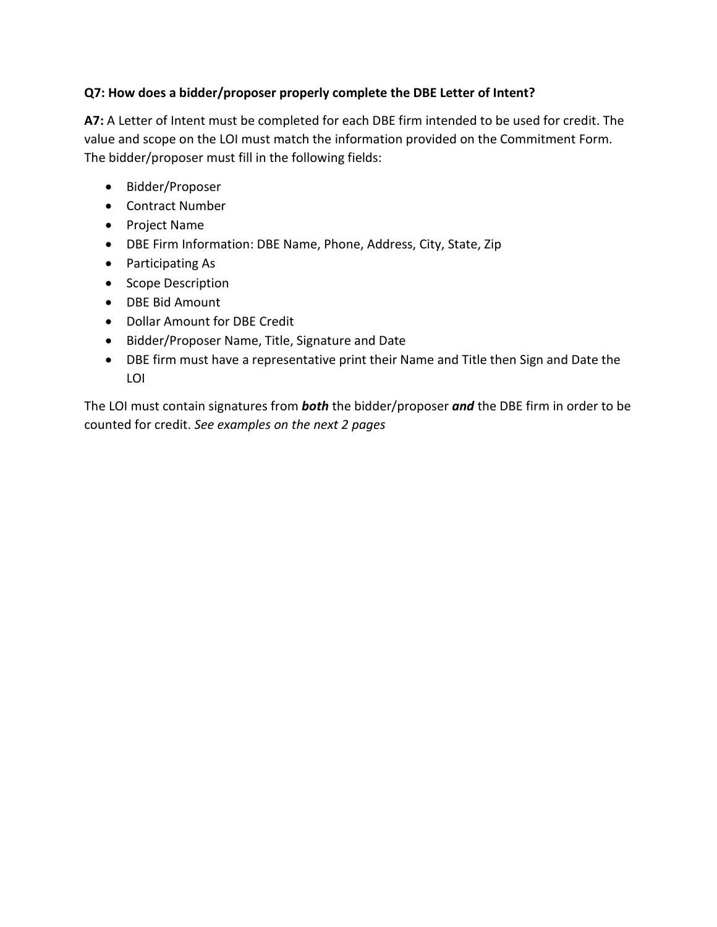## **Q7: How does a bidder/proposer properly complete the DBE Letter of Intent?**

**A7:** A Letter of Intent must be completed for each DBE firm intended to be used for credit. The value and scope on the LOI must match the information provided on the Commitment Form. The bidder/proposer must fill in the following fields:

- Bidder/Proposer
- Contract Number
- Project Name
- DBE Firm Information: DBE Name, Phone, Address, City, State, Zip
- Participating As
- Scope Description
- DBE Bid Amount
- Dollar Amount for DBE Credit
- Bidder/Proposer Name, Title, Signature and Date
- DBE firm must have a representative print their Name and Title then Sign and Date the LOI

The LOI must contain signatures from *both* the bidder/proposer *and* the DBE firm in order to be counted for credit. *See examples on the next 2 pages*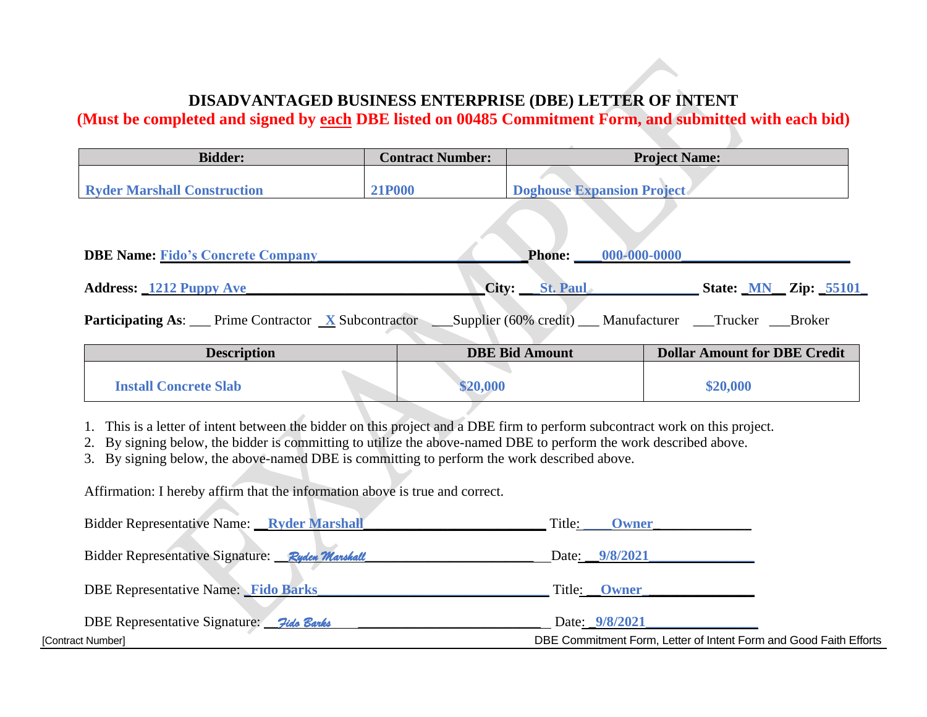# **DISADVANTAGED BUSINESS ENTERPRISE (DBE) LETTER OF INTENT**

**(Must be completed and signed by each DBE listed on 00485 Commitment Form, and submitted with each bid)**

| <b>Contract Number:</b> |                               |                                                                                       |
|-------------------------|-------------------------------|---------------------------------------------------------------------------------------|
|                         |                               |                                                                                       |
| <b>21P000</b>           |                               |                                                                                       |
|                         |                               |                                                                                       |
|                         |                               |                                                                                       |
|                         | <b>Phone:</b><br>000-000-0000 |                                                                                       |
|                         |                               |                                                                                       |
|                         |                               | <b>State: MN Zip: 55101</b>                                                           |
|                         |                               | <b>Project Name:</b><br><b>Doghouse Expansion Project</b><br><b>St. Paul</b><br>City: |

**Participating As:** Prime Contractor **X** Subcontractor Supplier (60% credit) Manufacturer Trucker Broker

| <b>Description</b>           | <b>DBE Bid Amount</b> | <b>Dollar Amount for DBE Credit</b> |
|------------------------------|-----------------------|-------------------------------------|
| <b>Install Concrete Slab</b> | \$20,000              | \$20,000                            |

1. This is a letter of intent between the bidder on this project and a DBE firm to perform subcontract work on this project.

2. By signing below, the bidder is committing to utilize the above-named DBE to perform the work described above.

3. By signing below, the above-named DBE is committing to perform the work described above.

Affirmation: I hereby affirm that the information above is true and correct.

| Bidder Representative Name: Ryder Marshall      | Title:<br><b>Owner</b>                                            |
|-------------------------------------------------|-------------------------------------------------------------------|
| Bidder Representative Signature: Ryden Manshall | Date: 9/8/2021                                                    |
| <b>DBE Representative Name:</b> Fido Barks      | Title: <b>Owner</b>                                               |
| DBE Representative Signature: 7ide Banks        | Date: 9/8/2021                                                    |
| [Contract Number]                               | DBE Commitment Form, Letter of Intent Form and Good Faith Efforts |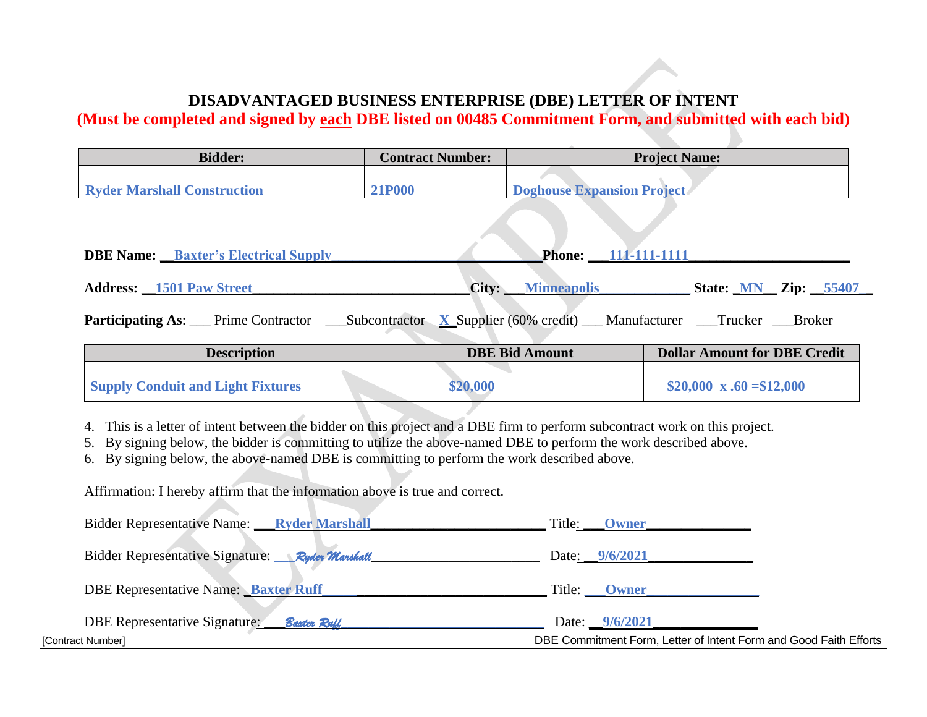# **DISADVANTAGED BUSINESS ENTERPRISE (DBE) LETTER OF INTENT**

**(Must be completed and signed by each DBE listed on 00485 Commitment Form, and submitted with each bid)**

| <b>Bidder:</b>                              | <b>Contract Number:</b> |                                   | <b>Project Name:</b>                |
|---------------------------------------------|-------------------------|-----------------------------------|-------------------------------------|
| <b>Ryder Marshall Construction</b>          | <b>21P000</b>           | <b>Doghouse Expansion Project</b> |                                     |
|                                             |                         |                                   |                                     |
| <b>DBE Name:</b> Baxter's Electrical Supply |                         | Phone: 111-111-1111               |                                     |
| <b>Address:</b> 1501 Paw Street             |                         | <b>City:</b> Minneapolis          | <b>State: <u>MN</u></b> Zip: 55407  |
|                                             |                         |                                   |                                     |
| <b>Description</b>                          |                         | <b>DBE Bid Amount</b>             | <b>Dollar Amount for DBE Credit</b> |

| <b>Supply Conduit and Light Fixtures</b> | \$20,000 | \$20,000 x .60 = \$12,000 |
|------------------------------------------|----------|---------------------------|
|                                          |          |                           |

4. This is a letter of intent between the bidder on this project and a DBE firm to perform subcontract work on this project.

5. By signing below, the bidder is committing to utilize the above-named DBE to perform the work described above.

6. By signing below, the above-named DBE is committing to perform the work described above.

Affirmation: I hereby affirm that the information above is true and correct.

| <b>Bidder Representative Name:</b> Ryder Marshall   | Title:<br><b>Owner</b>                                            |
|-----------------------------------------------------|-------------------------------------------------------------------|
| Bidder Representative Signature: Ryder Marshall     | Date: 9/6/2021                                                    |
| <b>DBE Representative Name: Baxter Ruff</b>         | Title: Owner                                                      |
| <b>DBE Representative Signature:</b><br>Baxter Ruff | Date: 9/6/2021                                                    |
| [Contract Number]                                   | DBE Commitment Form, Letter of Intent Form and Good Faith Efforts |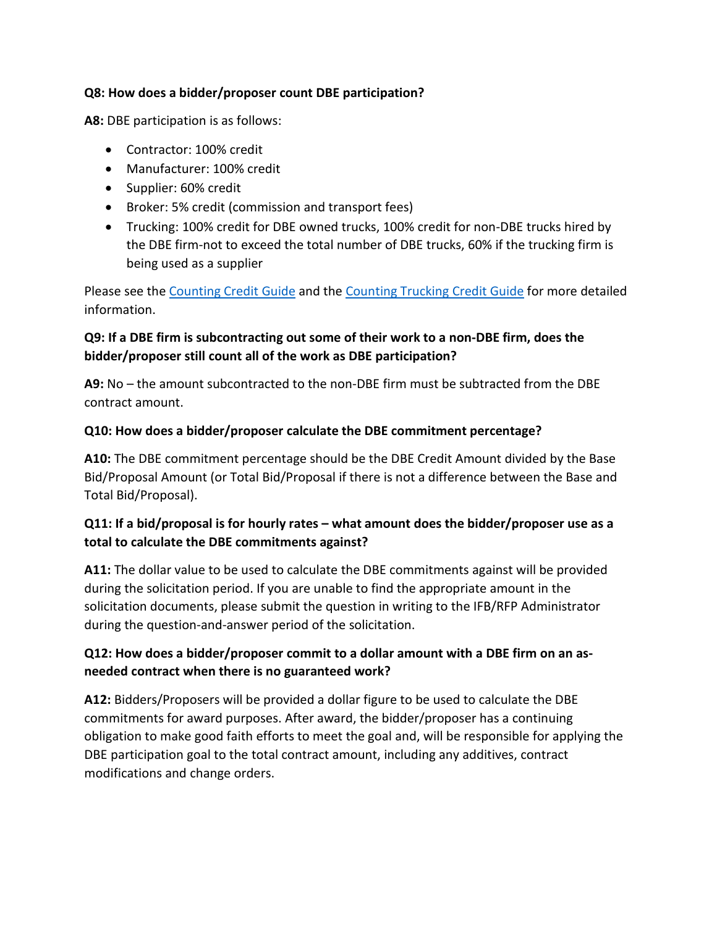## **Q8: How does a bidder/proposer count DBE participation?**

**A8:** DBE participation is as follows:

- Contractor: 100% credit
- Manufacturer: 100% credit
- Supplier: 60% credit
- Broker: 5% credit (commission and transport fees)
- Trucking: 100% credit for DBE owned trucks, 100% credit for non-DBE trucks hired by the DBE firm-not to exceed the total number of DBE trucks, 60% if the trucking firm is being used as a supplier

Please see the [Counting Credit Guide](https://metrocouncil.org/About-Us/What-We-Do/DoingBusiness/Small-Business-Programs/Resources/Documents/DBE-Credit-Counting.aspx) and the [Counting Trucking Credit Guide](https://metrocouncil.org/About-Us/What-We-Do/DoingBusiness/Small-Business-Programs/Resources/Documents/DBE-Trucking-Credit-Reference-Guide.aspx) for more detailed information.

# **Q9: If a DBE firm is subcontracting out some of their work to a non-DBE firm, does the bidder/proposer still count all of the work as DBE participation?**

**A9:** No – the amount subcontracted to the non-DBE firm must be subtracted from the DBE contract amount.

## **Q10: How does a bidder/proposer calculate the DBE commitment percentage?**

**A10:** The DBE commitment percentage should be the DBE Credit Amount divided by the Base Bid/Proposal Amount (or Total Bid/Proposal if there is not a difference between the Base and Total Bid/Proposal).

# **Q11: If a bid/proposal is for hourly rates – what amount does the bidder/proposer use as a total to calculate the DBE commitments against?**

**A11:** The dollar value to be used to calculate the DBE commitments against will be provided during the solicitation period. If you are unable to find the appropriate amount in the solicitation documents, please submit the question in writing to the IFB/RFP Administrator during the question-and-answer period of the solicitation.

# **Q12: How does a bidder/proposer commit to a dollar amount with a DBE firm on an asneeded contract when there is no guaranteed work?**

**A12:** Bidders/Proposers will be provided a dollar figure to be used to calculate the DBE commitments for award purposes. After award, the bidder/proposer has a continuing obligation to make good faith efforts to meet the goal and, will be responsible for applying the DBE participation goal to the total contract amount, including any additives, contract modifications and change orders.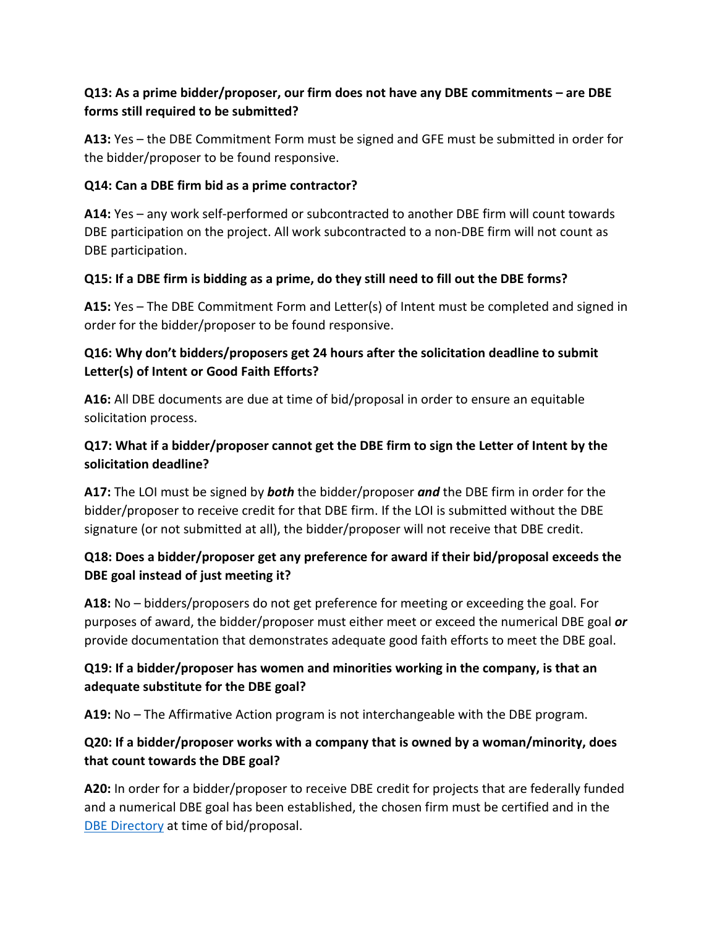# **Q13: As a prime bidder/proposer, our firm does not have any DBE commitments – are DBE forms still required to be submitted?**

**A13:** Yes – the DBE Commitment Form must be signed and GFE must be submitted in order for the bidder/proposer to be found responsive.

## **Q14: Can a DBE firm bid as a prime contractor?**

**A14:** Yes – any work self-performed or subcontracted to another DBE firm will count towards DBE participation on the project. All work subcontracted to a non-DBE firm will not count as DBE participation.

## **Q15: If a DBE firm is bidding as a prime, do they still need to fill out the DBE forms?**

**A15:** Yes – The DBE Commitment Form and Letter(s) of Intent must be completed and signed in order for the bidder/proposer to be found responsive.

# **Q16: Why don't bidders/proposers get 24 hours after the solicitation deadline to submit Letter(s) of Intent or Good Faith Efforts?**

**A16:** All DBE documents are due at time of bid/proposal in order to ensure an equitable solicitation process.

# **Q17: What if a bidder/proposer cannot get the DBE firm to sign the Letter of Intent by the solicitation deadline?**

**A17:** The LOI must be signed by *both* the bidder/proposer *and* the DBE firm in order for the bidder/proposer to receive credit for that DBE firm. If the LOI is submitted without the DBE signature (or not submitted at all), the bidder/proposer will not receive that DBE credit.

# **Q18: Does a bidder/proposer get any preference for award if their bid/proposal exceeds the DBE goal instead of just meeting it?**

**A18:** No – bidders/proposers do not get preference for meeting or exceeding the goal. For purposes of award, the bidder/proposer must either meet or exceed the numerical DBE goal *or* provide documentation that demonstrates adequate good faith efforts to meet the DBE goal.

# **Q19: If a bidder/proposer has women and minorities working in the company, is that an adequate substitute for the DBE goal?**

**A19:** No – The Affirmative Action program is not interchangeable with the DBE program.

# **Q20: If a bidder/proposer works with a company that is owned by a woman/minority, does that count towards the DBE goal?**

**A20:** In order for a bidder/proposer to receive DBE credit for projects that are federally funded and a numerical DBE goal has been established, the chosen firm must be certified and in the [DBE Directory](https://mnucp.metc.state.mn.us/) at time of bid/proposal.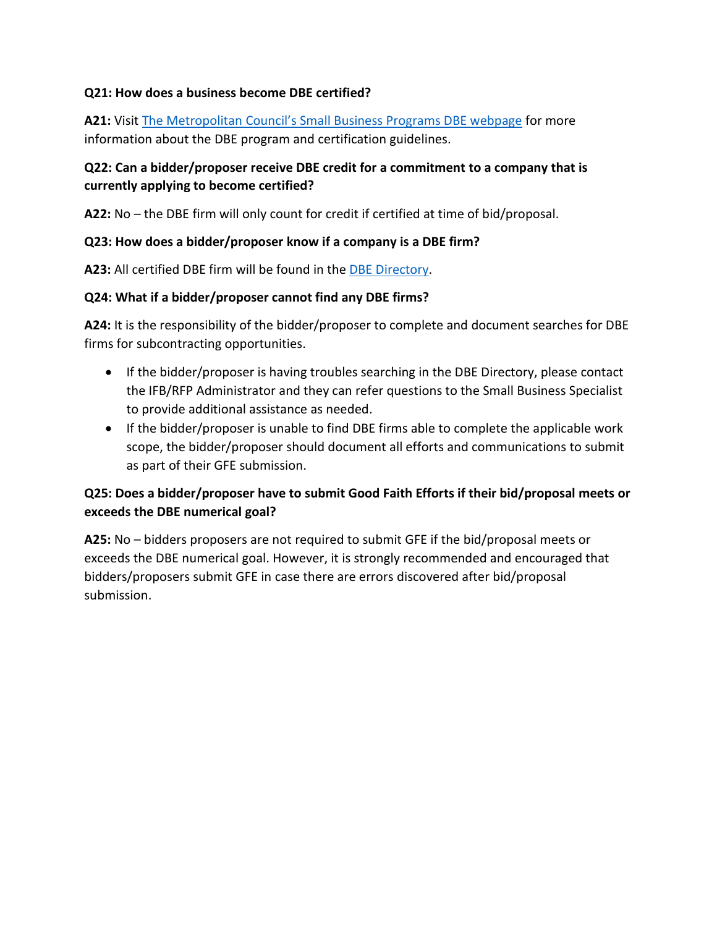## **Q21: How does a business become DBE certified?**

**A21:** Visit [The Metropolitan Council's Small Business Programs DBE webpage](https://metrocouncil.org/About-Us/What-We-Do/DoingBusiness/Small-Business-Programs/Disadvantaged-Business-Program.aspx) for more information about the DBE program and certification guidelines.

## **Q22: Can a bidder/proposer receive DBE credit for a commitment to a company that is currently applying to become certified?**

**A22:** No – the DBE firm will only count for credit if certified at time of bid/proposal.

#### **Q23: How does a bidder/proposer know if a company is a DBE firm?**

**A23:** All certified DBE firm will be found in the [DBE Directory.](https://mnucp.metc.state.mn.us/)

#### **Q24: What if a bidder/proposer cannot find any DBE firms?**

**A24:** It is the responsibility of the bidder/proposer to complete and document searches for DBE firms for subcontracting opportunities.

- If the bidder/proposer is having troubles searching in the DBE Directory, please contact the IFB/RFP Administrator and they can refer questions to the Small Business Specialist to provide additional assistance as needed.
- If the bidder/proposer is unable to find DBE firms able to complete the applicable work scope, the bidder/proposer should document all efforts and communications to submit as part of their GFE submission.

# **Q25: Does a bidder/proposer have to submit Good Faith Efforts if their bid/proposal meets or exceeds the DBE numerical goal?**

**A25:** No – bidders proposers are not required to submit GFE if the bid/proposal meets or exceeds the DBE numerical goal. However, it is strongly recommended and encouraged that bidders/proposers submit GFE in case there are errors discovered after bid/proposal submission.